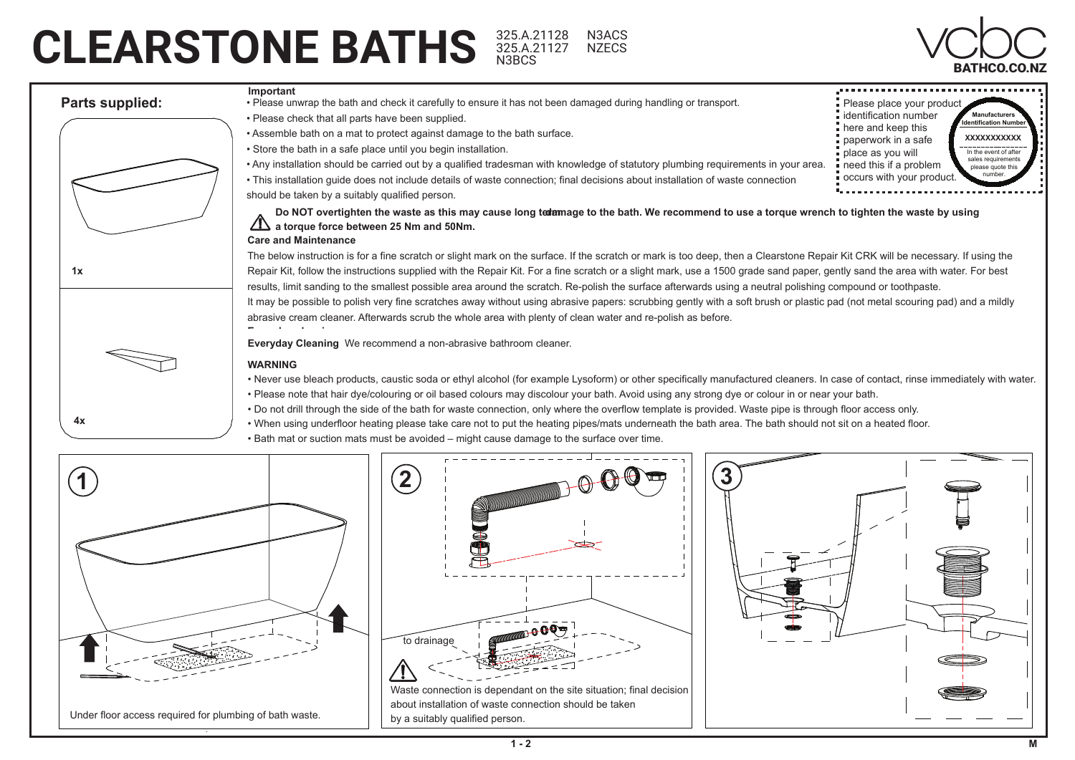## CLEARSTONE BATHS 325.A.21128 N3ACS<br>
N3BCS
MATHER CONNEX AND RATHCO.CO.NZ N3BCS

325.A.21127 N3ACS **NZECS**